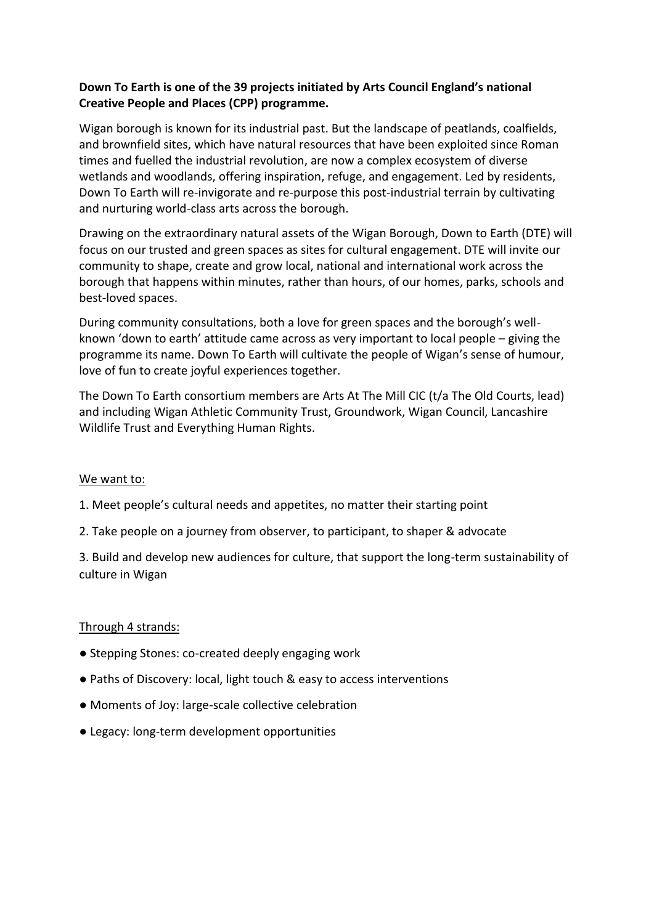### **Down To Earth is one of the 39 projects initiated by Arts Council England's national Creative People and Places (CPP) programme.**

Wigan borough is known for its industrial past. But the landscape of peatlands, coalfields, and brownfield sites, which have natural resources that have been exploited since Roman times and fuelled the industrial revolution, are now a complex ecosystem of diverse wetlands and woodlands, offering inspiration, refuge, and engagement. Led by residents, Down To Earth will re-invigorate and re-purpose this post-industrial terrain by cultivating and nurturing world-class arts across the borough.

Drawing on the extraordinary natural assets of the Wigan Borough, Down to Earth (DTE) will focus on our trusted and green spaces as sites for cultural engagement. DTE will invite our community to shape, create and grow local, national and international work across the borough that happens within minutes, rather than hours, of our homes, parks, schools and best-loved spaces.

During community consultations, both a love for green spaces and the borough's wellknown 'down to earth' attitude came across as very important to local people – giving the programme its name. Down To Earth will cultivate the people of Wigan's sense of humour, love of fun to create joyful experiences together.

The Down To Earth consortium members are Arts At The Mill CIC (t/a The Old Courts, lead) and including Wigan Athletic Community Trust, Groundwork, Wigan Council, Lancashire Wildlife Trust and Everything Human Rights.

#### We want to:

- 1. Meet people's cultural needs and appetites, no matter their starting point
- 2. Take people on a journey from observer, to participant, to shaper & advocate

3. Build and develop new audiences for culture, that support the long-term sustainability of culture in Wigan

#### Through 4 strands:

- Stepping Stones: co-created deeply engaging work
- Paths of Discovery: local, light touch & easy to access interventions
- Moments of Joy: large-scale collective celebration
- Legacy: long-term development opportunities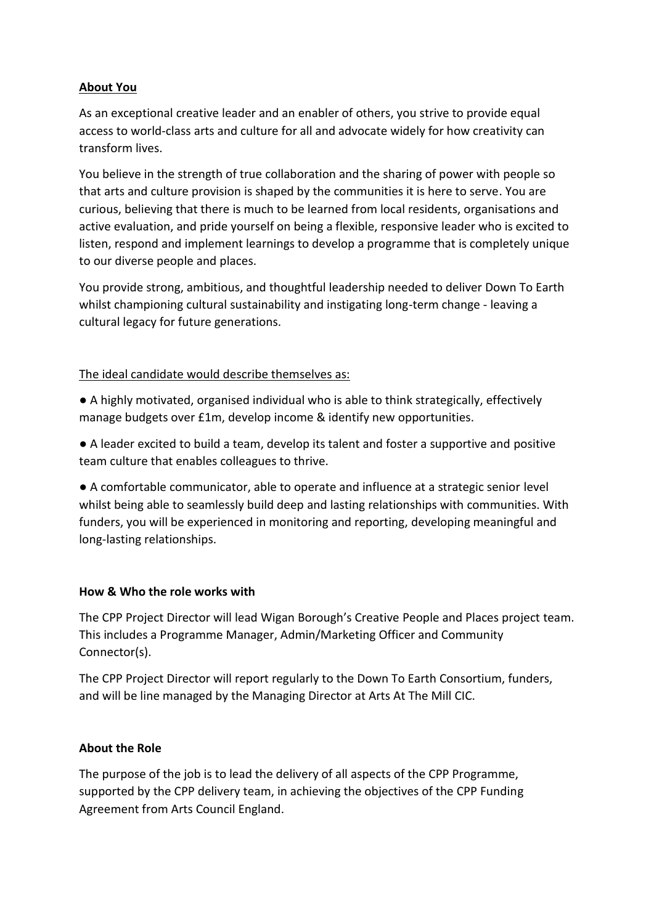#### **About You**

As an exceptional creative leader and an enabler of others, you strive to provide equal access to world-class arts and culture for all and advocate widely for how creativity can transform lives.

You believe in the strength of true collaboration and the sharing of power with people so that arts and culture provision is shaped by the communities it is here to serve. You are curious, believing that there is much to be learned from local residents, organisations and active evaluation, and pride yourself on being a flexible, responsive leader who is excited to listen, respond and implement learnings to develop a programme that is completely unique to our diverse people and places.

You provide strong, ambitious, and thoughtful leadership needed to deliver Down To Earth whilst championing cultural sustainability and instigating long-term change - leaving a cultural legacy for future generations.

#### The ideal candidate would describe themselves as:

- A highly motivated, organised individual who is able to think strategically, effectively manage budgets over £1m, develop income & identify new opportunities.
- A leader excited to build a team, develop its talent and foster a supportive and positive team culture that enables colleagues to thrive.

● A comfortable communicator, able to operate and influence at a strategic senior level whilst being able to seamlessly build deep and lasting relationships with communities. With funders, you will be experienced in monitoring and reporting, developing meaningful and long-lasting relationships.

#### **How & Who the role works with**

The CPP Project Director will lead Wigan Borough's Creative People and Places project team. This includes a Programme Manager, Admin/Marketing Officer and Community Connector(s).

The CPP Project Director will report regularly to the Down To Earth Consortium, funders, and will be line managed by the Managing Director at Arts At The Mill CIC.

#### **About the Role**

The purpose of the job is to lead the delivery of all aspects of the CPP Programme, supported by the CPP delivery team, in achieving the objectives of the CPP Funding Agreement from Arts Council England.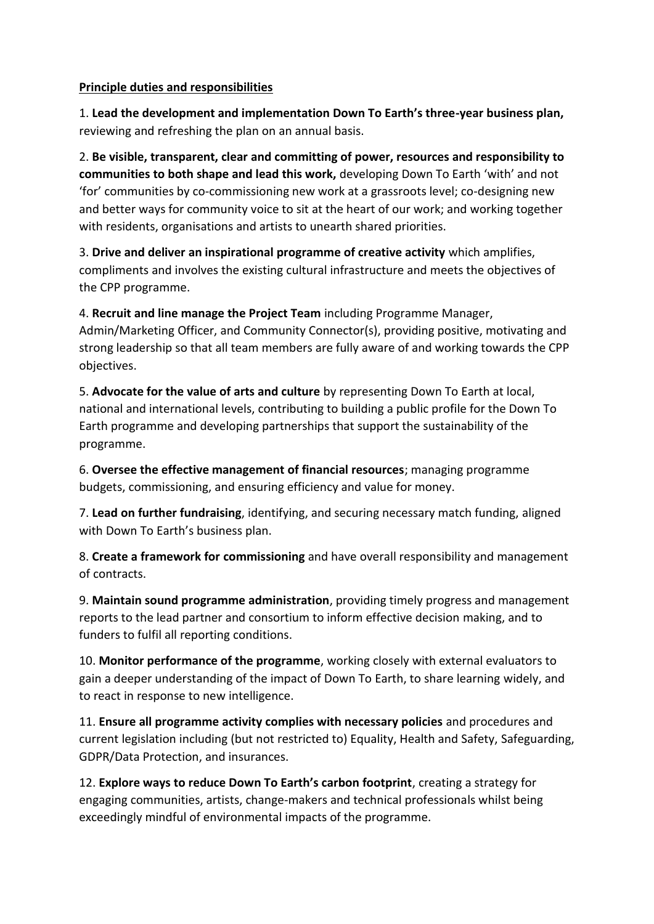#### **Principle duties and responsibilities**

1. **Lead the development and implementation Down To Earth's three-year business plan,** reviewing and refreshing the plan on an annual basis.

2. **Be visible, transparent, clear and committing of power, resources and responsibility to communities to both shape and lead this work,** developing Down To Earth 'with' and not 'for' communities by co-commissioning new work at a grassroots level; co-designing new and better ways for community voice to sit at the heart of our work; and working together with residents, organisations and artists to unearth shared priorities.

3. **Drive and deliver an inspirational programme of creative activity** which amplifies, compliments and involves the existing cultural infrastructure and meets the objectives of the CPP programme.

4. **Recruit and line manage the Project Team** including Programme Manager, Admin/Marketing Officer, and Community Connector(s), providing positive, motivating and strong leadership so that all team members are fully aware of and working towards the CPP objectives.

5. **Advocate for the value of arts and culture** by representing Down To Earth at local, national and international levels, contributing to building a public profile for the Down To Earth programme and developing partnerships that support the sustainability of the programme.

6. **Oversee the effective management of financial resources**; managing programme budgets, commissioning, and ensuring efficiency and value for money.

7. **Lead on further fundraising**, identifying, and securing necessary match funding, aligned with Down To Earth's business plan.

8. **Create a framework for commissioning** and have overall responsibility and management of contracts.

9. **Maintain sound programme administration**, providing timely progress and management reports to the lead partner and consortium to inform effective decision making, and to funders to fulfil all reporting conditions.

10. **Monitor performance of the programme**, working closely with external evaluators to gain a deeper understanding of the impact of Down To Earth, to share learning widely, and to react in response to new intelligence.

11. **Ensure all programme activity complies with necessary policies** and procedures and current legislation including (but not restricted to) Equality, Health and Safety, Safeguarding, GDPR/Data Protection, and insurances.

12. **Explore ways to reduce Down To Earth's carbon footprint**, creating a strategy for engaging communities, artists, change-makers and technical professionals whilst being exceedingly mindful of environmental impacts of the programme.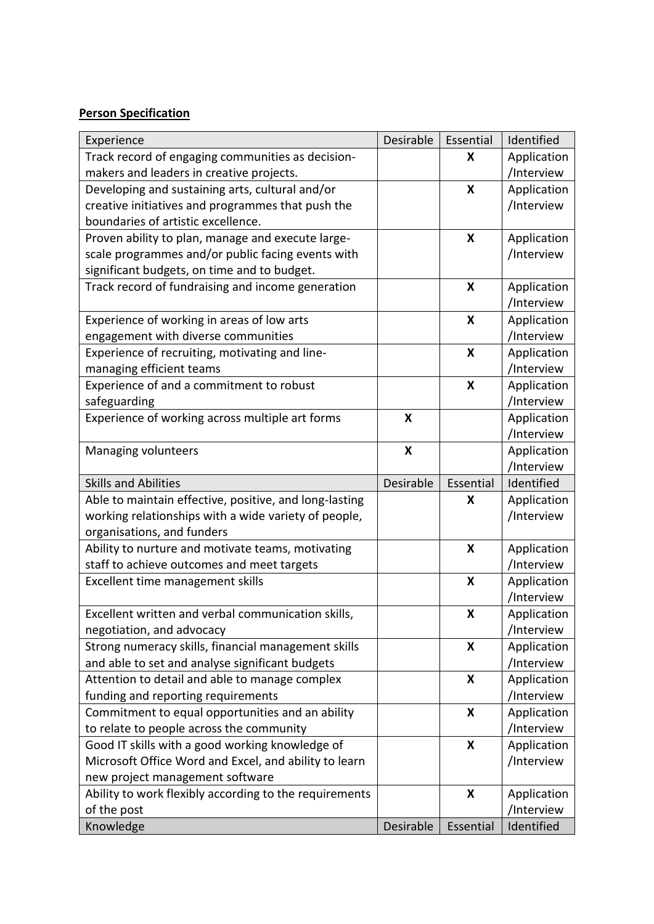## **Person Specification**

| Experience                                             | Desirable | Essential | Identified  |
|--------------------------------------------------------|-----------|-----------|-------------|
| Track record of engaging communities as decision-      |           | X         | Application |
| makers and leaders in creative projects.               |           |           | /Interview  |
| Developing and sustaining arts, cultural and/or        |           | X         | Application |
| creative initiatives and programmes that push the      |           |           | /Interview  |
| boundaries of artistic excellence.                     |           |           |             |
| Proven ability to plan, manage and execute large-      |           | X         | Application |
| scale programmes and/or public facing events with      |           |           | /Interview  |
| significant budgets, on time and to budget.            |           |           |             |
| Track record of fundraising and income generation      |           | X         | Application |
|                                                        |           |           | /Interview  |
| Experience of working in areas of low arts             |           | X         | Application |
| engagement with diverse communities                    |           |           | /Interview  |
| Experience of recruiting, motivating and line-         |           | X         | Application |
| managing efficient teams                               |           |           | /Interview  |
| Experience of and a commitment to robust               |           | X         | Application |
| safeguarding                                           |           |           | /Interview  |
| Experience of working across multiple art forms        | X         |           | Application |
|                                                        |           |           | /Interview  |
| Managing volunteers                                    | X         |           | Application |
|                                                        |           |           | /Interview  |
| <b>Skills and Abilities</b>                            | Desirable | Essential | Identified  |
| Able to maintain effective, positive, and long-lasting |           | X         | Application |
| working relationships with a wide variety of people,   |           |           | /Interview  |
| organisations, and funders                             |           |           |             |
| Ability to nurture and motivate teams, motivating      |           | X         | Application |
| staff to achieve outcomes and meet targets             |           |           | /Interview  |
| Excellent time management skills                       |           | X         | Application |
|                                                        |           |           | /Interview  |
| Excellent written and verbal communication skills,     |           | X         | Application |
| negotiation, and advocacy                              |           |           | /Interview  |
| Strong numeracy skills, financial management skills    |           | X         | Application |
| and able to set and analyse significant budgets        |           |           | /Interview  |
| Attention to detail and able to manage complex         |           | X         | Application |
| funding and reporting requirements                     |           |           | /Interview  |
| Commitment to equal opportunities and an ability       |           | X         | Application |
| to relate to people across the community               |           |           | /Interview  |
| Good IT skills with a good working knowledge of        |           | X         | Application |
| Microsoft Office Word and Excel, and ability to learn  |           |           | /Interview  |
| new project management software                        |           |           |             |
| Ability to work flexibly according to the requirements |           | X         | Application |
| of the post                                            |           |           | /Interview  |
| Knowledge                                              | Desirable | Essential | Identified  |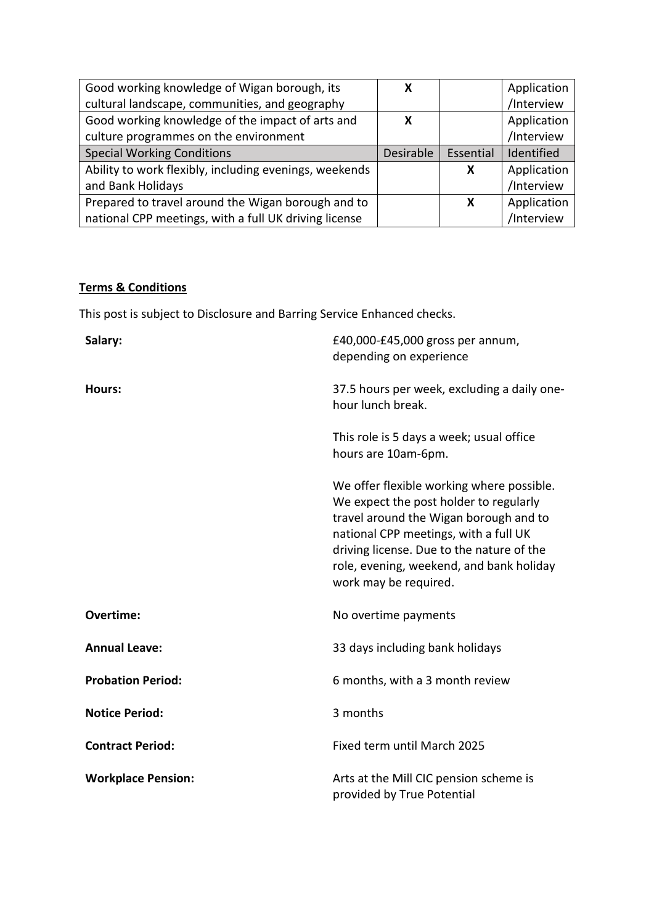| Good working knowledge of Wigan borough, its           | x         |           | Application |
|--------------------------------------------------------|-----------|-----------|-------------|
| cultural landscape, communities, and geography         |           |           | /Interview  |
| Good working knowledge of the impact of arts and       | X         |           | Application |
| culture programmes on the environment                  |           |           | /Interview  |
| <b>Special Working Conditions</b>                      | Desirable | Essential | Identified  |
| Ability to work flexibly, including evenings, weekends |           | X         | Application |
| and Bank Holidays                                      |           |           | /Interview  |
| Prepared to travel around the Wigan borough and to     |           | X         | Application |
| national CPP meetings, with a full UK driving license  |           |           | /Interview  |

# **Terms & Conditions**

This post is subject to Disclosure and Barring Service Enhanced checks.

| Salary:                   | £40,000-£45,000 gross per annum,<br>depending on experience                                                                                                                                                                                                                              |
|---------------------------|------------------------------------------------------------------------------------------------------------------------------------------------------------------------------------------------------------------------------------------------------------------------------------------|
| <b>Hours:</b>             | 37.5 hours per week, excluding a daily one-<br>hour lunch break.                                                                                                                                                                                                                         |
|                           | This role is 5 days a week; usual office<br>hours are 10am-6pm.                                                                                                                                                                                                                          |
|                           | We offer flexible working where possible.<br>We expect the post holder to regularly<br>travel around the Wigan borough and to<br>national CPP meetings, with a full UK<br>driving license. Due to the nature of the<br>role, evening, weekend, and bank holiday<br>work may be required. |
| Overtime:                 | No overtime payments                                                                                                                                                                                                                                                                     |
| <b>Annual Leave:</b>      | 33 days including bank holidays                                                                                                                                                                                                                                                          |
| <b>Probation Period:</b>  | 6 months, with a 3 month review                                                                                                                                                                                                                                                          |
| <b>Notice Period:</b>     | 3 months                                                                                                                                                                                                                                                                                 |
| <b>Contract Period:</b>   | Fixed term until March 2025                                                                                                                                                                                                                                                              |
| <b>Workplace Pension:</b> | Arts at the Mill CIC pension scheme is<br>provided by True Potential                                                                                                                                                                                                                     |